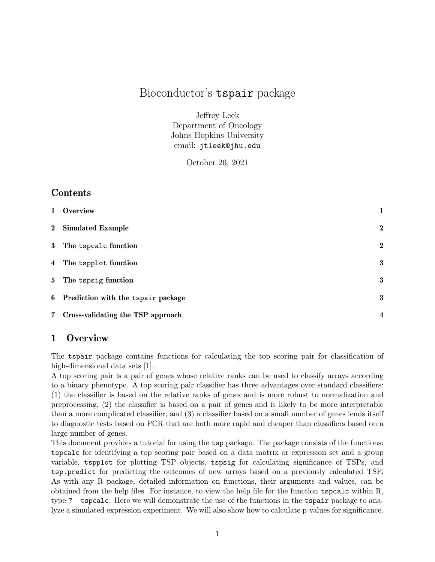# Bioconductor's tspair package

Jeffrey Leek Department of Oncology Johns Hopkins University email: jtleek@jhu.edu

October 26, 2021

# **Contents**

| 1 Overview                           | $\mathbf{1}$            |
|--------------------------------------|-------------------------|
| 2 Simulated Example                  | $\boldsymbol{2}$        |
| 3 The tspcalc function               | $\boldsymbol{2}$        |
| 4 The tspplot function               | 3                       |
| 5 The tspsig function                | 3                       |
| 6 Prediction with the tspair package | 3                       |
| 7 Cross-validating the TSP approach  | $\overline{\mathbf{4}}$ |

# 1 Overview

The tspair package contains functions for calculating the top scoring pair for classification of high-dimensional data sets [1].

A top scoring pair is a pair of genes whose relative ranks can be used to classify arrays according to a binary phenotype. A top scoring pair classifier has three advantages over standard classifiers: (1) the classifier is based on the relative ranks of genes and is more robust to normalization and preprocessing, (2) the classifier is based on a pair of genes and is likely to be more interpretable than a more complicated classifier, and (3) a classifier based on a small number of genes lends itself to diagnostic tests based on PCR that are both more rapid and cheaper than classifiers based on a large number of genes.

This document provides a tutorial for using the tsp package. The package consists of the functions: tspcalc for identifying a top scoring pair based on a data matrix or expression set and a group variable, tspplot for plotting TSP objects, tspsig for calculating significance of TSPs, and tsp.predict for predicting the outcomes of new arrays based on a previously calculated TSP. As with any R package, detailed information on functions, their arguments and values, can be obtained from the help files. For instance, to view the help file for the function tspcalc within R, type ? tspcalc. Here we will demonstrate the use of the functions in the tspair package to analyze a simulated expression experiment. We will also show how to calculate p-values for significance.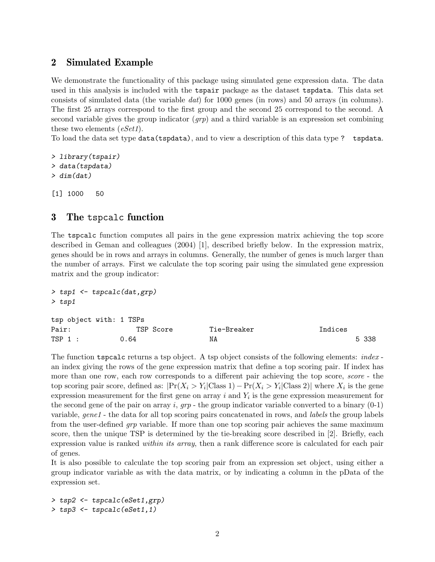#### 2 Simulated Example

We demonstrate the functionality of this package using simulated gene expression data. The data used in this analysis is included with the tspair package as the dataset tspdata. This data set consists of simulated data (the variable dat) for 1000 genes (in rows) and 50 arrays (in columns). The first 25 arrays correspond to the first group and the second 25 correspond to the second. A second variable gives the group indicator  $(qrp)$  and a third variable is an expression set combining these two elements (*eSet1*).

To load the data set type data(tspdata), and to view a description of this data type ? tspdata.

```
> library(tspair)
> data(tspdata)
> dim(dat)
```

```
[1] 1000 50
```
# 3 The tspcalc function

The tspcalc function computes all pairs in the gene expression matrix achieving the top score described in Geman and colleagues (2004) [1], described briefly below. In the expression matrix, genes should be in rows and arrays in columns. Generally, the number of genes is much larger than the number of arrays. First we calculate the top scoring pair using the simulated gene expression matrix and the group indicator:

```
> tsp1 <- tspcalc(dat,grp)
> tsp1
tsp object with: 1 TSPs
Pair: TSP Score Tie-Breaker Indices
```
The function tspcalc returns a tsp object. A tsp object consists of the following elements: *index* an index giving the rows of the gene expression matrix that define a top scoring pair. If index has more than one row, each row corresponds to a different pair achieving the top score, *score* - the top scoring pair score, defined as:  $|\Pr(X_i > Y_i|\text{Class 1}) - \Pr(X_i > Y_i|\text{Class 2})|$  where  $X_i$  is the gene expression measurement for the first gene on array  $i$  and  $Y_i$  is the gene expression measurement for the second gene of the pair on array i,  $grp$  - the group indicator variable converted to a binary  $(0-1)$ variable, gene1 - the data for all top scoring pairs concatenated in rows, and labels the group labels from the user-defined *grp* variable. If more than one top scoring pair achieves the same maximum score, then the unique TSP is determined by the tie-breaking score described in [2]. Briefly, each expression value is ranked *within its array*, then a rank difference score is calculated for each pair of genes.

TSP 1 : 0.64 NA NA 5 338

It is also possible to calculate the top scoring pair from an expression set object, using either a group indicator variable as with the data matrix, or by indicating a column in the pData of the expression set.

> tsp2 <- tspcalc(eSet1,grp) > tsp3 <- tspcalc(eSet1,1)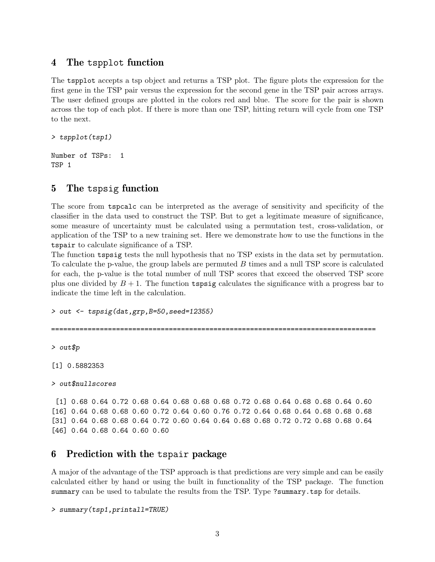#### 4 The tspplot function

The tspplot accepts a tsp object and returns a TSP plot. The figure plots the expression for the first gene in the TSP pair versus the expression for the second gene in the TSP pair across arrays. The user defined groups are plotted in the colors red and blue. The score for the pair is shown across the top of each plot. If there is more than one TSP, hitting return will cycle from one TSP to the next.

> tspplot(tsp1)

Number of TSPs: 1 TSP 1

# 5 The tspsig function

The score from tspcalc can be interpreted as the average of sensitivity and specificity of the classifier in the data used to construct the TSP. But to get a legitimate measure of significance, some measure of uncertainty must be calculated using a permutation test, cross-validation, or application of the TSP to a new training set. Here we demonstrate how to use the functions in the tspair to calculate significance of a TSP.

The function tspsig tests the null hypothesis that no TSP exists in the data set by permutation. To calculate the p-value, the group labels are permuted B times and a null TSP score is calculated for each, the p-value is the total number of null TSP scores that exceed the observed TSP score plus one divided by  $B + 1$ . The function tspsig calculates the significance with a progress bar to indicate the time left in the calculation.

> out <- tspsig(dat,grp,B=50,seed=12355)

================================================================================

> out\$p

[1] 0.5882353

```
> out$nullscores
```
[1] 0.68 0.64 0.72 0.68 0.64 0.68 0.68 0.68 0.72 0.68 0.64 0.68 0.68 0.64 0.60 [16] 0.64 0.68 0.68 0.60 0.72 0.64 0.60 0.76 0.72 0.64 0.68 0.64 0.68 0.68 0.68 [31] 0.64 0.68 0.68 0.64 0.72 0.60 0.64 0.64 0.68 0.68 0.72 0.72 0.68 0.68 0.64 [46] 0.64 0.68 0.64 0.60 0.60

# 6 Prediction with the tspair package

A major of the advantage of the TSP approach is that predictions are very simple and can be easily calculated either by hand or using the built in functionality of the TSP package. The function summary can be used to tabulate the results from the TSP. Type ?summary.tsp for details.

> summary(tsp1,printall=TRUE)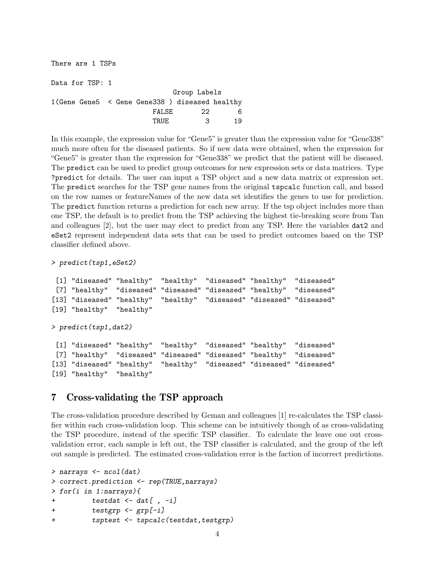There are 1 TSPs Data for TSP: 1 Group Labels 1(Gene Gene5 < Gene Gene338 ) diseased healthy FALSE 22 6 TRUE 3 19

In this example, the expression value for "Gene5" is greater than the expression value for "Gene338" much more often for the diseased patients. So if new data were obtained, when the expression for "Gene5" is greater than the expression for "Gene338" we predict that the patient will be diseased. The predict can be used to predict group outcomes for new expression sets or data matrices. Type ?predict for details. The user can input a TSP object and a new data matrix or expression set. The predict searches for the TSP gene names from the original tspcalc function call, and based on the row names or featureNames of the new data set identifies the genes to use for prediction. The predict function returns a prediction for each new array. If the tsp object includes more than one TSP, the default is to predict from the TSP achieving the highest tie-breaking score from Tan and colleagues [2], but the user may elect to predict from any TSP. Here the variables dat2 and eSet2 represent independent data sets that can be used to predict outcomes based on the TSP classifier defined above.

```
> predict(tsp1,eSet2)
```
[1] "diseased" "healthy" "healthy" "diseased" "healthy" "diseased" [7] "healthy" "diseased" "diseased" "diseased" "healthy" "diseased" [13] "diseased" "healthy" "healthy" "diseased" "diseased" "diseased" [19] "healthy" "healthy"

> predict(tsp1,dat2)

[1] "diseased" "healthy" "healthy" "diseased" "healthy" "diseased" [7] "healthy" "diseased" "diseased" "diseased" "healthy" "diseased" [13] "diseased" "healthy" "healthy" "diseased" "diseased" "diseased" [19] "healthy" "healthy"

# 7 Cross-validating the TSP approach

The cross-validation procedure described by Geman and colleagues [1] re-calculates the TSP classifier within each cross-validation loop. This scheme can be intuitively though of as cross-validating the TSP procedure, instead of the specific TSP classifier. To calculate the leave one out crossvalidation error, each sample is left out, the TSP classifier is calculated, and the group of the left out sample is predicted. The estimated cross-validation error is the faction of incorrect predictions.

```
> narrays <- ncol(dat)
> correct.prediction <- rep(TRUE,narrays)
> for(i in 1:narrays){
+ testdat <- dat[ , -i]
+ testgrp <- grp[-i]
+ tsptest <- tspcalc(testdat, testgrp)
```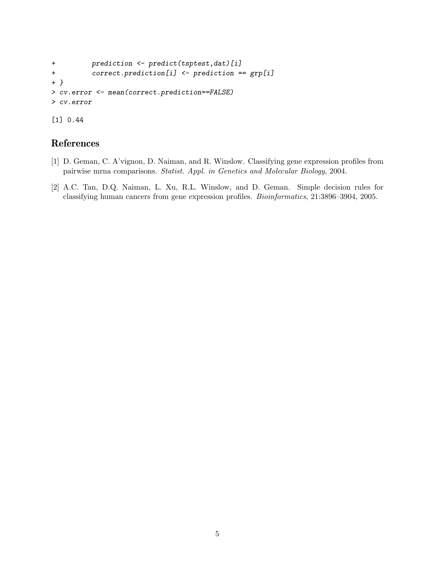```
+ prediction <- predict(tsptest,dat)[i]
+ correct.prediction[i] <- prediction == grp[i]
+ }
> cv.error <- mean(correct.prediction==FALSE)
> cv.error
```
# References

[1] 0.44

- [1] D. Geman, C. A'vignon, D. Naiman, and R. Winslow. Classifying gene expression profiles from pairwise mrna comparisons. Statist. Appl. in Genetics and Molecular Biology, 2004.
- [2] A.C. Tan, D.Q. Naiman, L. Xu, R.L. Winslow, and D. Geman. Simple decision rules for classifying human cancers from gene expression profiles. Bioinformatics, 21:3896–3904, 2005.